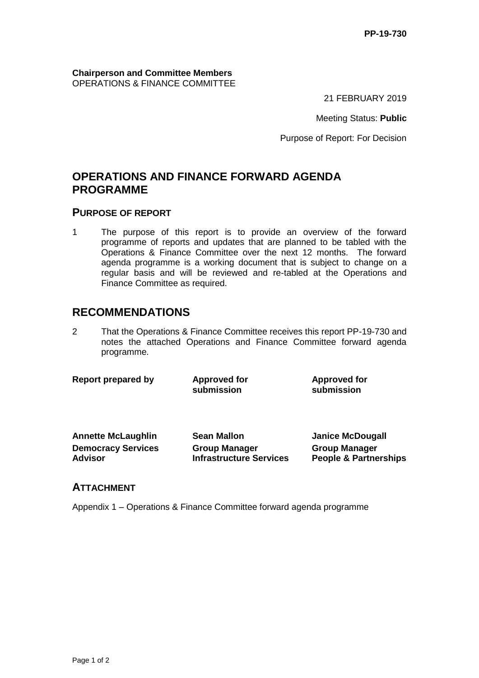**Chairperson and Committee Members** OPERATIONS & FINANCE COMMITTEE

21 FEBRUARY 2019

Meeting Status: **Public**

for

Purpose of Report: For Decision

## **OPERATIONS AND FINANCE FORWARD AGENDA PROGRAMME**

#### **PURPOSE OF REPORT**

1 The purpose of this report is to provide an overview of the forward programme of reports and updates that are planned to be tabled with the Operations & Finance Committee over the next 12 months. The forward agenda programme is a working document that is subject to change on a regular basis and will be reviewed and re-tabled at the Operations and Finance Committee as required.

### **RECOMMENDATIONS**

2 That the Operations & Finance Committee receives this report PP-19-730 and notes the attached Operations and Finance Committee forward agenda programme.

| Report prepared by | <b>Approved for</b><br>submission | <b>Approved fo</b><br>submission |
|--------------------|-----------------------------------|----------------------------------|
|                    |                                   |                                  |

| <b>Annette McLaughlin</b> | <b>Sean Mallon</b>             | <b>Janice McDougall</b>          |
|---------------------------|--------------------------------|----------------------------------|
| <b>Democracy Services</b> | <b>Group Manager</b>           | <b>Group Manager</b>             |
| <b>Advisor</b>            | <b>Infrastructure Services</b> | <b>People &amp; Partnerships</b> |

#### **ATTACHMENT**

Appendix 1 – Operations & Finance Committee forward agenda programme